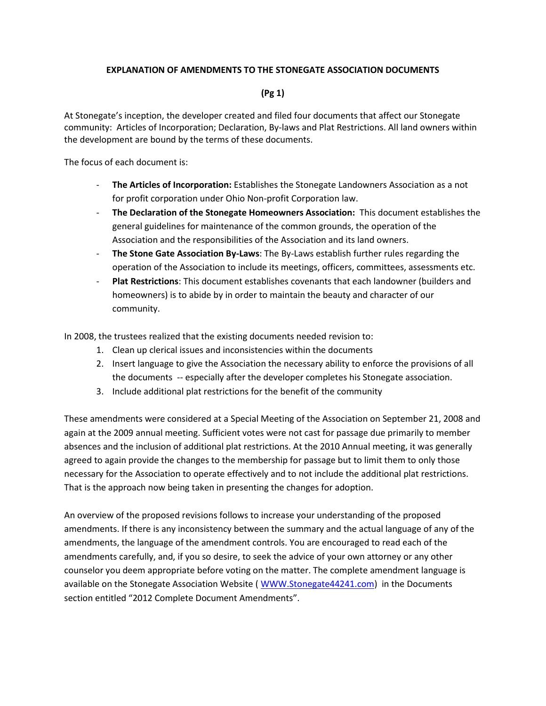## **EXPLANATION OF AMENDMENTS TO THE STONEGATE ASSOCIATION DOCUMENTS**

## **(Pg 1)**

At Stonegate's inception, the developer created and filed four documents that affect our Stonegate community: Articles of Incorporation; Declaration, By-laws and Plat Restrictions. All land owners within the development are bound by the terms of these documents.

The focus of each document is:

- **The Articles of Incorporation:** Establishes the Stonegate Landowners Association as a not for profit corporation under Ohio Non-profit Corporation law.
- **The Declaration of the Stonegate Homeowners Association:** This document establishes the general guidelines for maintenance of the common grounds, the operation of the Association and the responsibilities of the Association and its land owners.
- The Stone Gate Association By-Laws: The By-Laws establish further rules regarding the operation of the Association to include its meetings, officers, committees, assessments etc.
- **Plat Restrictions**: This document establishes covenants that each landowner (builders and homeowners) is to abide by in order to maintain the beauty and character of our community.

In 2008, the trustees realized that the existing documents needed revision to:

- 1. Clean up clerical issues and inconsistencies within the documents
- 2. Insert language to give the Association the necessary ability to enforce the provisions of all the documents -- especially after the developer completes his Stonegate association.
- 3. Include additional plat restrictions for the benefit of the community

These amendments were considered at a Special Meeting of the Association on September 21, 2008 and again at the 2009 annual meeting. Sufficient votes were not cast for passage due primarily to member absences and the inclusion of additional plat restrictions. At the 2010 Annual meeting, it was generally agreed to again provide the changes to the membership for passage but to limit them to only those necessary for the Association to operate effectively and to not include the additional plat restrictions. That is the approach now being taken in presenting the changes for adoption.

An overview of the proposed revisions follows to increase your understanding of the proposed amendments. If there is any inconsistency between the summary and the actual language of any of the amendments, the language of the amendment controls. You are encouraged to read each of the amendments carefully, and, if you so desire, to seek the advice of your own attorney or any other counselor you deem appropriate before voting on the matter. The complete amendment language is available on the Stonegate Association Website ( [WWW.Stonegate44241.com\)](http://www.stonegate44241.com/) in the Documents section entitled "2012 Complete Document Amendments".